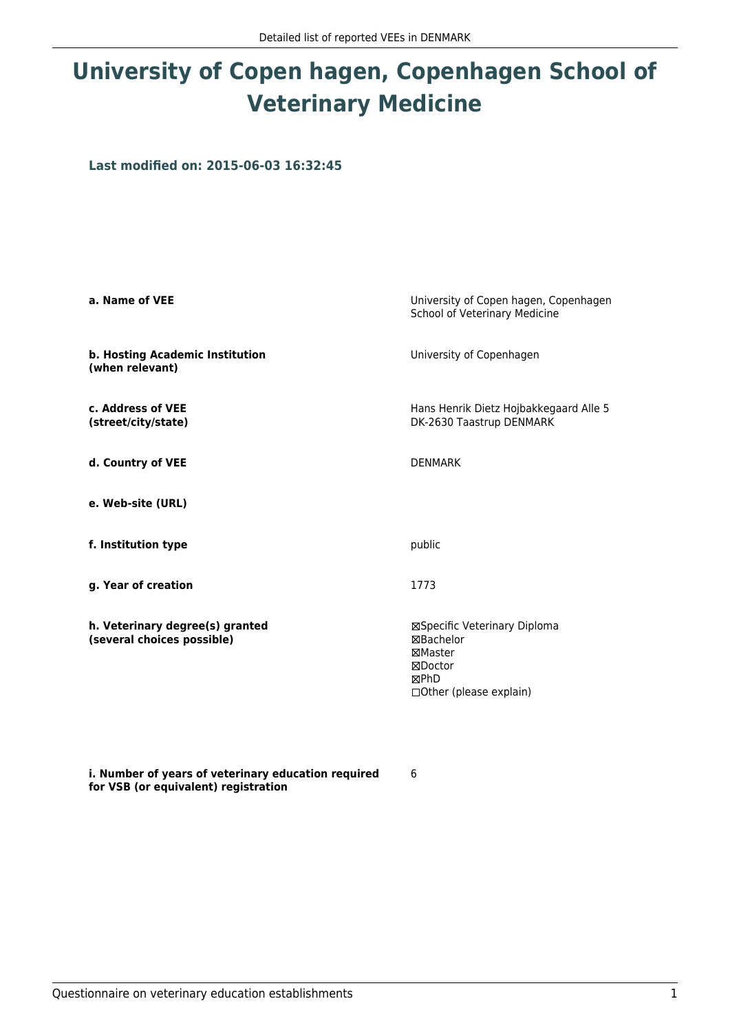## **University of Copen hagen, Copenhagen School of Veterinary Medicine**

**Last modified on: 2015-06-03 16:32:45**

| a. Name of VEE                                                | University of Copen hagen, Copenhagen<br>School of Veterinary Medicine                                          |  |
|---------------------------------------------------------------|-----------------------------------------------------------------------------------------------------------------|--|
| b. Hosting Academic Institution<br>(when relevant)            | University of Copenhagen                                                                                        |  |
| c. Address of VEE<br>(street/city/state)                      | Hans Henrik Dietz Hojbakkegaard Alle 5<br>DK-2630 Taastrup DENMARK                                              |  |
| d. Country of VEE                                             | <b>DENMARK</b>                                                                                                  |  |
| e. Web-site (URL)                                             |                                                                                                                 |  |
| f. Institution type                                           | public                                                                                                          |  |
| g. Year of creation                                           | 1773                                                                                                            |  |
| h. Veterinary degree(s) granted<br>(several choices possible) | ⊠Specific Veterinary Diploma<br><b>⊠Bachelor</b><br>⊠Master<br>⊠Doctor<br>⊠PhD<br>$\Box$ Other (please explain) |  |

**i. Number of years of veterinary education required for VSB (or equivalent) registration**

6